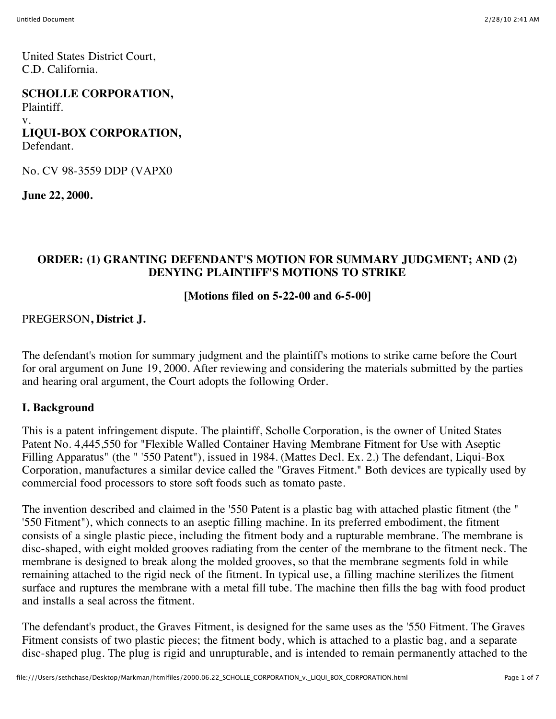United States District Court, C.D. California.

#### **SCHOLLE CORPORATION,**

Plaintiff.

#### v.

**LIQUI-BOX CORPORATION,**

Defendant.

No. CV 98-3559 DDP (VAPX0

**June 22, 2000.**

### **ORDER: (1) GRANTING DEFENDANT'S MOTION FOR SUMMARY JUDGMENT; AND (2) DENYING PLAINTIFF'S MOTIONS TO STRIKE**

#### **[Motions filed on 5-22-00 and 6-5-00]**

#### PREGERSON**, District J.**

The defendant's motion for summary judgment and the plaintiff's motions to strike came before the Court for oral argument on June 19, 2000. After reviewing and considering the materials submitted by the parties and hearing oral argument, the Court adopts the following Order.

#### **I. Background**

This is a patent infringement dispute. The plaintiff, Scholle Corporation, is the owner of United States Patent No. 4,445,550 for "Flexible Walled Container Having Membrane Fitment for Use with Aseptic Filling Apparatus" (the " '550 Patent"), issued in 1984. (Mattes Decl. Ex. 2.) The defendant, Liqui-Box Corporation, manufactures a similar device called the "Graves Fitment." Both devices are typically used by commercial food processors to store soft foods such as tomato paste.

The invention described and claimed in the '550 Patent is a plastic bag with attached plastic fitment (the " '550 Fitment"), which connects to an aseptic filling machine. In its preferred embodiment, the fitment consists of a single plastic piece, including the fitment body and a rupturable membrane. The membrane is disc-shaped, with eight molded grooves radiating from the center of the membrane to the fitment neck. The membrane is designed to break along the molded grooves, so that the membrane segments fold in while remaining attached to the rigid neck of the fitment. In typical use, a filling machine sterilizes the fitment surface and ruptures the membrane with a metal fill tube. The machine then fills the bag with food product and installs a seal across the fitment.

The defendant's product, the Graves Fitment, is designed for the same uses as the '550 Fitment. The Graves Fitment consists of two plastic pieces; the fitment body, which is attached to a plastic bag, and a separate disc-shaped plug. The plug is rigid and unrupturable, and is intended to remain permanently attached to the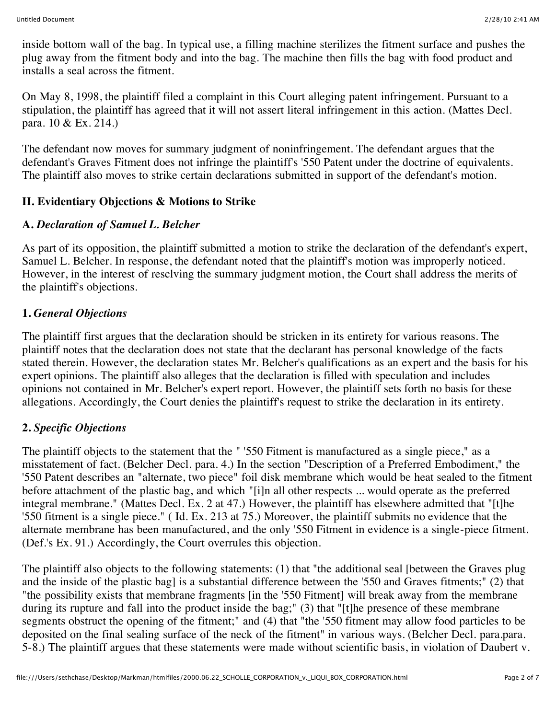inside bottom wall of the bag. In typical use, a filling machine sterilizes the fitment surface and pushes the plug away from the fitment body and into the bag. The machine then fills the bag with food product and installs a seal across the fitment.

On May 8, 1998, the plaintiff filed a complaint in this Court alleging patent infringement. Pursuant to a stipulation, the plaintiff has agreed that it will not assert literal infringement in this action. (Mattes Decl. para. 10 & Ex. 214.)

The defendant now moves for summary judgment of noninfringement. The defendant argues that the defendant's Graves Fitment does not infringe the plaintiff's '550 Patent under the doctrine of equivalents. The plaintiff also moves to strike certain declarations submitted in support of the defendant's motion.

# **II. Evidentiary Objections & Motions to Strike**

# **A.** *Declaration of Samuel L. Belcher*

As part of its opposition, the plaintiff submitted a motion to strike the declaration of the defendant's expert, Samuel L. Belcher. In response, the defendant noted that the plaintiff's motion was improperly noticed. However, in the interest of resclving the summary judgment motion, the Court shall address the merits of the plaintiff's objections.

# **1.** *General Objections*

The plaintiff first argues that the declaration should be stricken in its entirety for various reasons. The plaintiff notes that the declaration does not state that the declarant has personal knowledge of the facts stated therein. However, the declaration states Mr. Belcher's qualifications as an expert and the basis for his expert opinions. The plaintiff also alleges that the declaration is filled with speculation and includes opinions not contained in Mr. Belcher's expert report. However, the plaintiff sets forth no basis for these allegations. Accordingly, the Court denies the plaintiff's request to strike the declaration in its entirety.

# **2.** *Specific Objections*

The plaintiff objects to the statement that the " '550 Fitment is manufactured as a single piece," as a misstatement of fact. (Belcher Decl. para. 4.) In the section "Description of a Preferred Embodiment," the '550 Patent describes an "alternate, two piece" foil disk membrane which would be heat sealed to the fitment before attachment of the plastic bag, and which "[i]n all other respects ... would operate as the preferred integral membrane." (Mattes Decl. Ex. 2 at 47.) However, the plaintiff has elsewhere admitted that "[t]he '550 fitment is a single piece." ( Id. Ex. 213 at 75.) Moreover, the plaintiff submits no evidence that the alternate membrane has been manufactured, and the only '550 Fitment in evidence is a single-piece fitment. (Def.'s Ex. 91.) Accordingly, the Court overrules this objection.

The plaintiff also objects to the following statements: (1) that "the additional seal [between the Graves plug and the inside of the plastic bag] is a substantial difference between the '550 and Graves fitments;" (2) that "the possibility exists that membrane fragments [in the '550 Fitment] will break away from the membrane during its rupture and fall into the product inside the bag;" (3) that "[t]he presence of these membrane segments obstruct the opening of the fitment;" and (4) that "the '550 fitment may allow food particles to be deposited on the final sealing surface of the neck of the fitment" in various ways. (Belcher Decl. para.para. 5-8.) The plaintiff argues that these statements were made without scientific basis, in violation of Daubert v.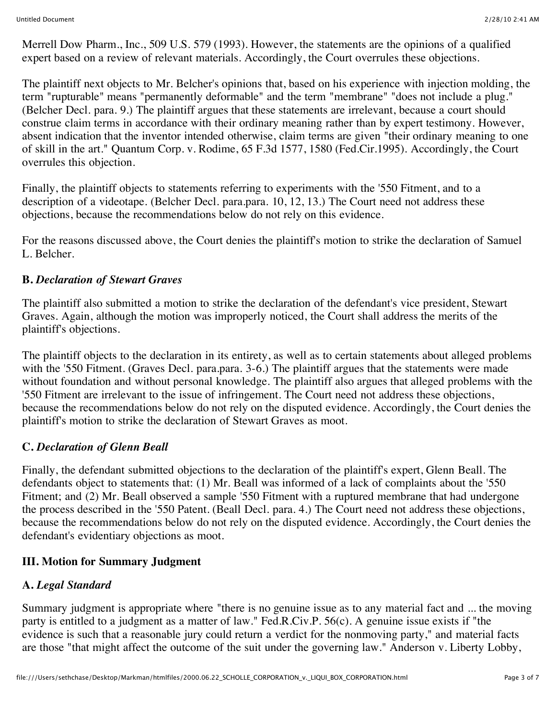Merrell Dow Pharm., Inc., 509 U.S. 579 (1993). However, the statements are the opinions of a qualified expert based on a review of relevant materials. Accordingly, the Court overrules these objections.

The plaintiff next objects to Mr. Belcher's opinions that, based on his experience with injection molding, the term "rupturable" means "permanently deformable" and the term "membrane" "does not include a plug." (Belcher Decl. para. 9.) The plaintiff argues that these statements are irrelevant, because a court should construe claim terms in accordance with their ordinary meaning rather than by expert testimony. However, absent indication that the inventor intended otherwise, claim terms are given "their ordinary meaning to one of skill in the art." Quantum Corp. v. Rodime, 65 F.3d 1577, 1580 (Fed.Cir.1995). Accordingly, the Court overrules this objection.

Finally, the plaintiff objects to statements referring to experiments with the '550 Fitment, and to a description of a videotape. (Belcher Decl. para.para. 10, 12, 13.) The Court need not address these objections, because the recommendations below do not rely on this evidence.

For the reasons discussed above, the Court denies the plaintiff's motion to strike the declaration of Samuel L. Belcher

### **B.** *Declaration of Stewart Graves*

The plaintiff also submitted a motion to strike the declaration of the defendant's vice president, Stewart Graves. Again, although the motion was improperly noticed, the Court shall address the merits of the plaintiff's objections.

The plaintiff objects to the declaration in its entirety, as well as to certain statements about alleged problems with the '550 Fitment. (Graves Decl. para.para. 3-6.) The plaintiff argues that the statements were made without foundation and without personal knowledge. The plaintiff also argues that alleged problems with the '550 Fitment are irrelevant to the issue of infringement. The Court need not address these objections, because the recommendations below do not rely on the disputed evidence. Accordingly, the Court denies the plaintiff's motion to strike the declaration of Stewart Graves as moot.

### **C.** *Declaration of Glenn Beall*

Finally, the defendant submitted objections to the declaration of the plaintiff's expert, Glenn Beall. The defendants object to statements that: (1) Mr. Beall was informed of a lack of complaints about the '550 Fitment; and (2) Mr. Beall observed a sample '550 Fitment with a ruptured membrane that had undergone the process described in the '550 Patent. (Beall Decl. para. 4.) The Court need not address these objections, because the recommendations below do not rely on the disputed evidence. Accordingly, the Court denies the defendant's evidentiary objections as moot.

# **III. Motion for Summary Judgment**

# **A.** *Legal Standard*

Summary judgment is appropriate where "there is no genuine issue as to any material fact and ... the moving party is entitled to a judgment as a matter of law." Fed.R.Civ.P. 56(c). A genuine issue exists if "the evidence is such that a reasonable jury could return a verdict for the nonmoving party," and material facts are those "that might affect the outcome of the suit under the governing law." Anderson v. Liberty Lobby,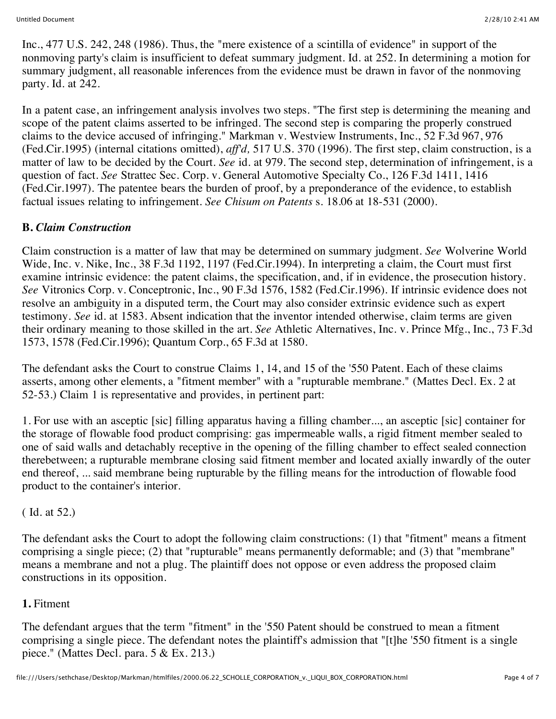Inc., 477 U.S. 242, 248 (1986). Thus, the "mere existence of a scintilla of evidence" in support of the nonmoving party's claim is insufficient to defeat summary judgment. Id. at 252. In determining a motion for summary judgment, all reasonable inferences from the evidence must be drawn in favor of the nonmoving party. Id. at 242.

In a patent case, an infringement analysis involves two steps. "The first step is determining the meaning and scope of the patent claims asserted to be infringed. The second step is comparing the properly construed claims to the device accused of infringing." Markman v. Westview Instruments, Inc., 52 F.3d 967, 976 (Fed.Cir.1995) (internal citations omitted), *aff'd,* 517 U.S. 370 (1996). The first step, claim construction, is a matter of law to be decided by the Court. *See* id. at 979. The second step, determination of infringement, is a question of fact. *See* Strattec Sec. Corp. v. General Automotive Specialty Co., 126 F.3d 1411, 1416 (Fed.Cir.1997). The patentee bears the burden of proof, by a preponderance of the evidence, to establish factual issues relating to infringement. *See Chisum on Patents* s. 18.06 at 18-531 (2000).

# **B.** *Claim Construction*

Claim construction is a matter of law that may be determined on summary judgment. *See* Wolverine World Wide, Inc. v. Nike, Inc., 38 F.3d 1192, 1197 (Fed.Cir.1994). In interpreting a claim, the Court must first examine intrinsic evidence: the patent claims, the specification, and, if in evidence, the prosecution history. *See* Vitronics Corp. v. Conceptronic, Inc., 90 F.3d 1576, 1582 (Fed.Cir.1996). If intrinsic evidence does not resolve an ambiguity in a disputed term, the Court may also consider extrinsic evidence such as expert testimony. *See* id. at 1583. Absent indication that the inventor intended otherwise, claim terms are given their ordinary meaning to those skilled in the art. *See* Athletic Alternatives, Inc. v. Prince Mfg., Inc., 73 F.3d 1573, 1578 (Fed.Cir.1996); Quantum Corp., 65 F.3d at 1580.

The defendant asks the Court to construe Claims 1, 14, and 15 of the '550 Patent. Each of these claims asserts, among other elements, a "fitment member" with a "rupturable membrane." (Mattes Decl. Ex. 2 at 52-53.) Claim 1 is representative and provides, in pertinent part:

1. For use with an asceptic [sic] filling apparatus having a filling chamber..., an asceptic [sic] container for the storage of flowable food product comprising: gas impermeable walls, a rigid fitment member sealed to one of said walls and detachably receptive in the opening of the filling chamber to effect sealed connection therebetween; a rupturable membrane closing said fitment member and located axially inwardly of the outer end thereof, ... said membrane being rupturable by the filling means for the introduction of flowable food product to the container's interior.

# ( Id. at 52.)

The defendant asks the Court to adopt the following claim constructions: (1) that "fitment" means a fitment comprising a single piece; (2) that "rupturable" means permanently deformable; and (3) that "membrane" means a membrane and not a plug. The plaintiff does not oppose or even address the proposed claim constructions in its opposition.

# **1.** Fitment

The defendant argues that the term "fitment" in the '550 Patent should be construed to mean a fitment comprising a single piece. The defendant notes the plaintiff's admission that "[t]he '550 fitment is a single piece." (Mattes Decl. para. 5 & Ex. 213.)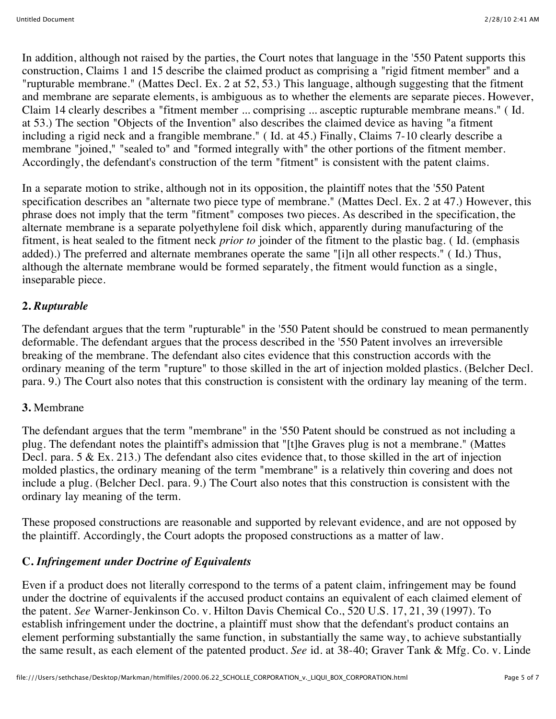In addition, although not raised by the parties, the Court notes that language in the '550 Patent supports this construction, Claims 1 and 15 describe the claimed product as comprising a "rigid fitment member" and a "rupturable membrane." (Mattes Decl. Ex. 2 at 52, 53.) This language, although suggesting that the fitment and membrane are separate elements, is ambiguous as to whether the elements are separate pieces. However, Claim 14 clearly describes a "fitment member ... comprising ... asceptic rupturable membrane means." ( Id. at 53.) The section "Objects of the Invention" also describes the claimed device as having "a fitment including a rigid neck and a frangible membrane." ( Id. at 45.) Finally, Claims 7-10 clearly describe a membrane "joined," "sealed to" and "formed integrally with" the other portions of the fitment member. Accordingly, the defendant's construction of the term "fitment" is consistent with the patent claims.

In a separate motion to strike, although not in its opposition, the plaintiff notes that the '550 Patent specification describes an "alternate two piece type of membrane." (Mattes Decl. Ex. 2 at 47.) However, this phrase does not imply that the term "fitment" composes two pieces. As described in the specification, the alternate membrane is a separate polyethylene foil disk which, apparently during manufacturing of the fitment, is heat sealed to the fitment neck *prior to* joinder of the fitment to the plastic bag. ( Id. (emphasis added).) The preferred and alternate membranes operate the same "[i]n all other respects." ( Id.) Thus, although the alternate membrane would be formed separately, the fitment would function as a single, inseparable piece.

# **2.** *Rupturable*

The defendant argues that the term "rupturable" in the '550 Patent should be construed to mean permanently deformable. The defendant argues that the process described in the '550 Patent involves an irreversible breaking of the membrane. The defendant also cites evidence that this construction accords with the ordinary meaning of the term "rupture" to those skilled in the art of injection molded plastics. (Belcher Decl. para. 9.) The Court also notes that this construction is consistent with the ordinary lay meaning of the term.

# **3.** Membrane

The defendant argues that the term "membrane" in the '550 Patent should be construed as not including a plug. The defendant notes the plaintiff's admission that "[t]he Graves plug is not a membrane." (Mattes Decl. para. 5 & Ex. 213.) The defendant also cites evidence that, to those skilled in the art of injection molded plastics, the ordinary meaning of the term "membrane" is a relatively thin covering and does not include a plug. (Belcher Decl. para. 9.) The Court also notes that this construction is consistent with the ordinary lay meaning of the term.

These proposed constructions are reasonable and supported by relevant evidence, and are not opposed by the plaintiff. Accordingly, the Court adopts the proposed constructions as a matter of law.

# **C.** *Infringement under Doctrine of Equivalents*

Even if a product does not literally correspond to the terms of a patent claim, infringement may be found under the doctrine of equivalents if the accused product contains an equivalent of each claimed element of the patent. *See* Warner-Jenkinson Co. v. Hilton Davis Chemical Co., 520 U.S. 17, 21, 39 (1997). To establish infringement under the doctrine, a plaintiff must show that the defendant's product contains an element performing substantially the same function, in substantially the same way, to achieve substantially the same result, as each element of the patented product. *See* id. at 38-40; Graver Tank & Mfg. Co. v. Linde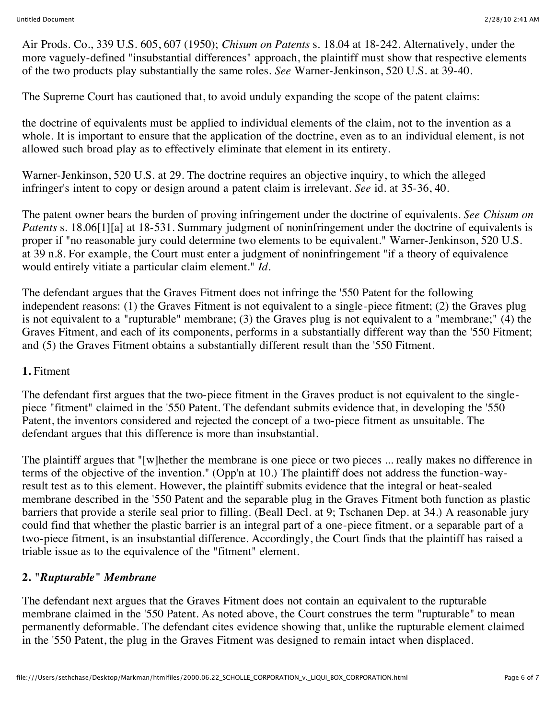Air Prods. Co., 339 U.S. 605, 607 (1950); *Chisum on Patents* s. 18.04 at 18-242. Alternatively, under the more vaguely-defined "insubstantial differences" approach, the plaintiff must show that respective elements of the two products play substantially the same roles. *See* Warner-Jenkinson, 520 U.S. at 39-40.

The Supreme Court has cautioned that, to avoid unduly expanding the scope of the patent claims:

the doctrine of equivalents must be applied to individual elements of the claim, not to the invention as a whole. It is important to ensure that the application of the doctrine, even as to an individual element, is not allowed such broad play as to effectively eliminate that element in its entirety.

Warner-Jenkinson, 520 U.S. at 29. The doctrine requires an objective inquiry, to which the alleged infringer's intent to copy or design around a patent claim is irrelevant. *See* id. at 35-36, 40.

The patent owner bears the burden of proving infringement under the doctrine of equivalents. *See Chisum on Patents* s. 18.06[1][a] at 18-531. Summary judgment of noninfringement under the doctrine of equivalents is proper if "no reasonable jury could determine two elements to be equivalent." Warner-Jenkinson, 520 U.S. at 39 n.8. For example, the Court must enter a judgment of noninfringement "if a theory of equivalence would entirely vitiate a particular claim element." *Id.*

The defendant argues that the Graves Fitment does not infringe the '550 Patent for the following independent reasons: (1) the Graves Fitment is not equivalent to a single-piece fitment; (2) the Graves plug is not equivalent to a "rupturable" membrane; (3) the Graves plug is not equivalent to a "membrane;" (4) the Graves Fitment, and each of its components, performs in a substantially different way than the '550 Fitment; and (5) the Graves Fitment obtains a substantially different result than the '550 Fitment.

### **1.** Fitment

The defendant first argues that the two-piece fitment in the Graves product is not equivalent to the singlepiece "fitment" claimed in the '550 Patent. The defendant submits evidence that, in developing the '550 Patent, the inventors considered and rejected the concept of a two-piece fitment as unsuitable. The defendant argues that this difference is more than insubstantial.

The plaintiff argues that "[w]hether the membrane is one piece or two pieces ... really makes no difference in terms of the objective of the invention." (Opp'n at 10.) The plaintiff does not address the function-wayresult test as to this element. However, the plaintiff submits evidence that the integral or heat-sealed membrane described in the '550 Patent and the separable plug in the Graves Fitment both function as plastic barriers that provide a sterile seal prior to filling. (Beall Decl. at 9; Tschanen Dep. at 34.) A reasonable jury could find that whether the plastic barrier is an integral part of a one-piece fitment, or a separable part of a two-piece fitment, is an insubstantial difference. Accordingly, the Court finds that the plaintiff has raised a triable issue as to the equivalence of the "fitment" element.

# **2.** *"Rupturable" Membrane*

The defendant next argues that the Graves Fitment does not contain an equivalent to the rupturable membrane claimed in the '550 Patent. As noted above, the Court construes the term "rupturable" to mean permanently deformable. The defendant cites evidence showing that, unlike the rupturable element claimed in the '550 Patent, the plug in the Graves Fitment was designed to remain intact when displaced.